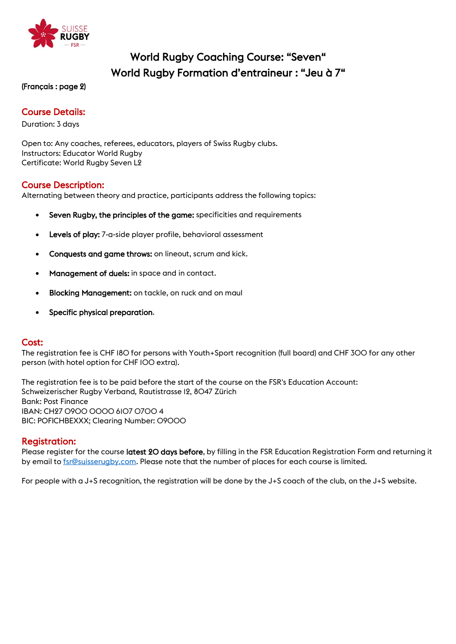

# World Rugby Coaching Course: "Seven" World Rugby Formation d'entraineur : "Jeu à 7"

## (Français : page 2)

## Course Details:

Duration: 3 days

Open to: Any coaches, referees, educators, players of Swiss Rugby clubs. Instructors: Educator World Rugby Certificate: World Rugby Seven L2

## Course Description:

Alternating between theory and practice, participants address the following topics:

- Seven Rugby, the principles of the game: specificities and requirements
- Levels of play: 7-a-side player profile, behavioral assessment
- Conquests and game throws: on lineout, scrum and kick.
- Management of duels: in space and in contact.
- **Blocking Management:** on tackle, on ruck and on maul
- Specific physical preparation.

### Cost:

The registration fee is CHF 180 for persons with Youth+Sport recognition (full board) and CHF 300 for any other person (with hotel option for CHF 100 extra).

The registration fee is to be paid before the start of the course on the FSR's Education Account: Schweizerischer Rugby Verband, Rautistrasse 12, 8047 Zürich Bank: Post Finance IBAN: CH27 0900 0000 6107 0700 4 BIC: POFICHBEXXX; Clearing Number: 09000

### Registration:

Please register for the course latest 20 days before, by filling in the FSR Education Registration Form and returning it by email t[o fsr@suisserugby.com.](mailto:fsr@suisserugby.com) Please note that the number of places for each course is limited.

For people with a J+S recognition, the registration will be done by the J+S coach of the club, on the J+S website.